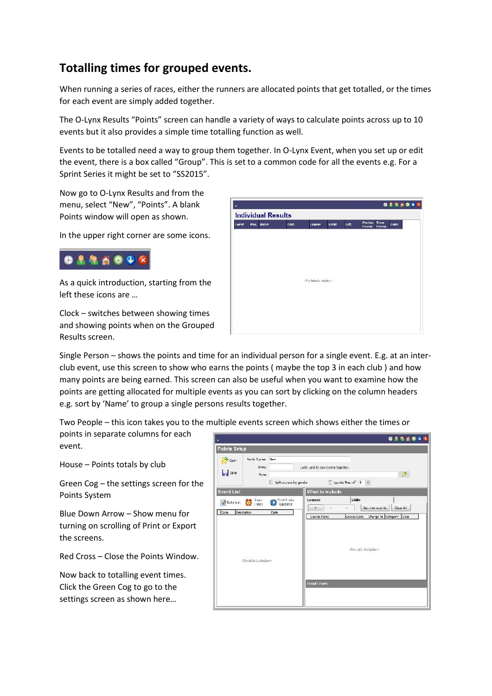## **Totalling times for grouped events.**

When running a series of races, either the runners are allocated points that get totalled, or the times for each event are simply added together.

The O-Lynx Results "Points" screen can handle a variety of ways to calculate points across up to 10 events but it also provides a simple time totalling function as well.

Events to be totalled need a way to group them together. In O-Lynx Event, when you set up or edit the event, there is a box called "Group". This is set to a common code for all the events e.g. For a Sprint Series it might be set to "SS2015".

Now go to O-Lynx Results and from the menu, select "New", "Points". A blank Points window will open as shown.

In the upper right corner are some icons.



As a quick introduction, starting from the left these icons are …

Clock – switches between showing times and showing points when on the Grouped Results screen.



Single Person – shows the points and time for an individual person for a single event. E.g. at an inter club event, use this screen to show who earns the points ( maybe the top 3 in each club ) and how many points are being earned. This screen can also be useful when you want to examine how the points are getting allocated for multiple events as you can sort by clicking on the column headers e.g. sort by 'Name' to group a single persons results together.

Two People – this icon takes you to the multiple events screen which shows either the times or

points in separate columns for each event.

House – Points totals by club

Green Cog – the settings screen for the Points System

Blue Down Arrow – Show menu for turning on scrolling of Print or Export the screens.

Red Cross – Close the Points Window.

Now back to totalling event times. Click the Green Cog to go to the settings screen as shown here…

|                    |                                                                   |                                              | 0886048                                                                                                                                                             |
|--------------------|-------------------------------------------------------------------|----------------------------------------------|---------------------------------------------------------------------------------------------------------------------------------------------------------------------|
| Points Setup       |                                                                   |                                              |                                                                                                                                                                     |
| Cpen<br>save       | Points System New<br>Group<br>Rules                               | 5plit courses by gender                      | Code used to join events together.<br><b>B</b><br>Lipcate Best of 15                                                                                                |
| <b>Event List</b>  |                                                                   |                                              | What to include                                                                                                                                                     |
| Duild List<br>Code | $\bigcirc$ loan<br>Description<br><no details="" display=""></no> | Start 2 min.<br>$\bullet$<br>Updates<br>Cate | Clubs<br>Courses<br>Get iron events<br>Clear All<br>Ù.<br>$^{+}$<br>Course Code<br>Change to Category Cass<br>Course Name<br>cho cata to cisplay's<br>Script Limors |